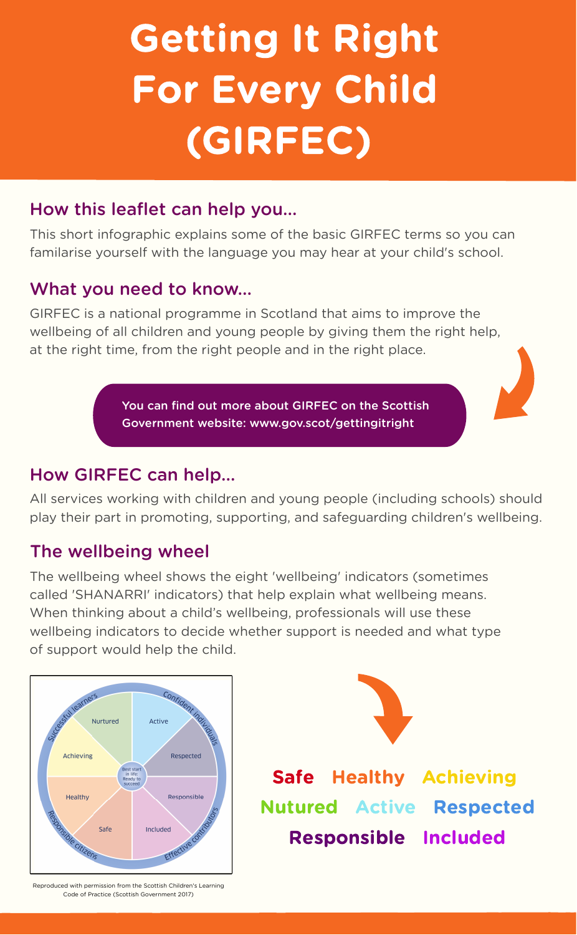# Getting It Right For Every Child (GIRFEC)

## How this leaflet can help you...

This short infographic explains some of the basic GIRFEC terms so you can familarise yourself with the language you may hear at your child's school.

#### What you need to know...

GIRFEC is a national programme in Scotland that aims to improve the wellbeing of all children and young people by giving them the right help, at the right time, from the right people and in the right place.

> You can find out more about GIRFEC on the Scottish Government website: [www.gov.scot/gettingitright](https://www.gov.scot/policies/girfec/?utm_source=redirect&utm_medium=shorturl&utm_campaign=gettingitright)

#### How GIRFEC can help...

All services working with children and young people (including schools) should play their part in promoting, supporting, and safeguarding children's wellbeing.

#### The wellbeing wheel

The wellbeing wheel shows the eight 'wellbeing' indicators (sometimes called 'SHANARRI' indicators) that help explain what wellbeing means. When thinking about a child's wellbeing, professionals will use these wellbeing indicators to decide whether support is needed and what type of support would help the child.





Safe Healthy Achieving Nutured Active Respected Responsible Included

Reproduced with permission from the Scottish Children's Learning Code of Practice (Scottish Government 2017)